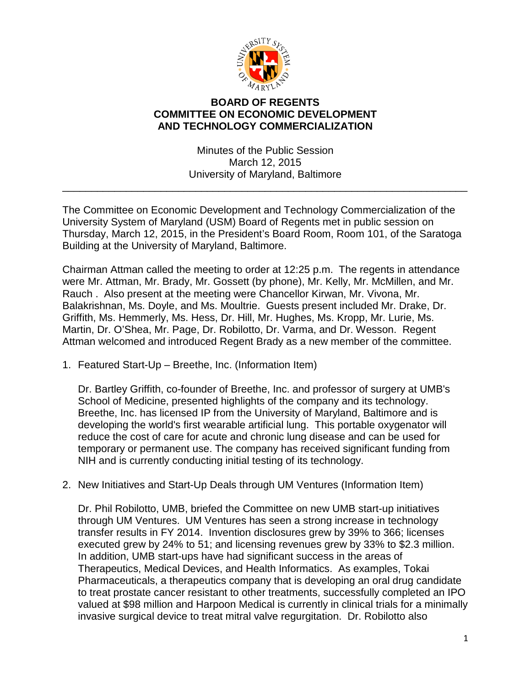

## **BOARD OF REGENTS COMMITTEE ON ECONOMIC DEVELOPMENT AND TECHNOLOGY COMMERCIALIZATION**

Minutes of the Public Session March 12, 2015 University of Maryland, Baltimore

\_\_\_\_\_\_\_\_\_\_\_\_\_\_\_\_\_\_\_\_\_\_\_\_\_\_\_\_\_\_\_\_\_\_\_\_\_\_\_\_\_\_\_\_\_\_\_\_\_\_\_\_\_\_\_\_\_\_\_\_\_\_\_\_\_\_\_\_\_\_

The Committee on Economic Development and Technology Commercialization of the University System of Maryland (USM) Board of Regents met in public session on Thursday, March 12, 2015, in the President's Board Room, Room 101, of the Saratoga Building at the University of Maryland, Baltimore.

Chairman Attman called the meeting to order at 12:25 p.m. The regents in attendance were Mr. Attman, Mr. Brady, Mr. Gossett (by phone), Mr. Kelly, Mr. McMillen, and Mr. Rauch . Also present at the meeting were Chancellor Kirwan, Mr. Vivona, Mr. Balakrishnan, Ms. Doyle, and Ms. Moultrie. Guests present included Mr. Drake, Dr. Griffith, Ms. Hemmerly, Ms. Hess, Dr. Hill, Mr. Hughes, Ms. Kropp, Mr. Lurie, Ms. Martin, Dr. O'Shea, Mr. Page, Dr. Robilotto, Dr. Varma, and Dr. Wesson. Regent Attman welcomed and introduced Regent Brady as a new member of the committee.

1. Featured Start-Up – Breethe, Inc. (Information Item)

Dr. Bartley Griffith, co-founder of Breethe, Inc. and professor of surgery at UMB's School of Medicine, presented highlights of the company and its technology. Breethe, Inc. has licensed IP from the University of Maryland, Baltimore and is developing the world's first wearable artificial lung. This portable oxygenator will reduce the cost of care for acute and chronic lung disease and can be used for temporary or permanent use. The company has received significant funding from NIH and is currently conducting initial testing of its technology.

2. New Initiatives and Start-Up Deals through UM Ventures (Information Item)

Dr. Phil Robilotto, UMB, briefed the Committee on new UMB start-up initiatives through UM Ventures. UM Ventures has seen a strong increase in technology transfer results in FY 2014. Invention disclosures grew by 39% to 366; licenses executed grew by 24% to 51; and licensing revenues grew by 33% to \$2.3 million. In addition, UMB start-ups have had significant success in the areas of Therapeutics, Medical Devices, and Health Informatics. As examples, Tokai Pharmaceuticals, a therapeutics company that is developing an oral drug candidate to treat prostate cancer resistant to other treatments, successfully completed an IPO valued at \$98 million and Harpoon Medical is currently in clinical trials for a minimally invasive surgical device to treat mitral valve regurgitation. Dr. Robilotto also